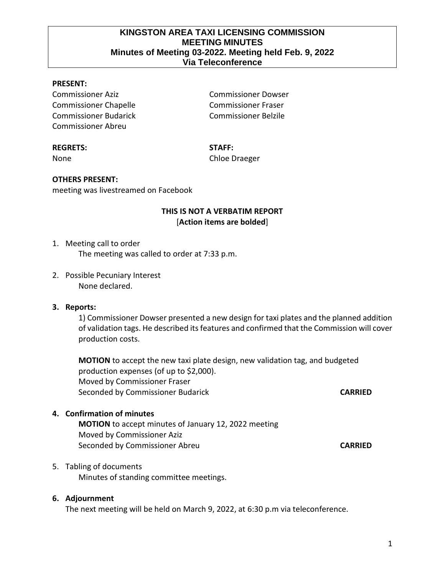## **KINGSTON AREA TAXI LICENSING COMMISSION MEETING MINUTES Minutes of Meeting 03-2022. Meeting held Feb. 9, 2022 Via Teleconference**

#### **PRESENT:**

Commissioner Aziz Commissioner Dowser Commissioner Chapelle Commissioner Fraser Commissioner Budarick Commissioner Belzile Commissioner Abreu

#### **REGRETS: STAFF:**

None Chloe Draeger

# **OTHERS PRESENT:**

meeting was livestreamed on Facebook

## **THIS IS NOT A VERBATIM REPORT** [**Action items are bolded**]

1. Meeting call to order

The meeting was called to order at 7:33 p.m.

2. Possible Pecuniary Interest None declared.

#### **3. Reports:**

1) Commissioner Dowser presented a new design for taxi plates and the planned addition of validation tags. He described its features and confirmed that the Commission will cover production costs.

**MOTION** to accept the new taxi plate design, new validation tag, and budgeted production expenses (of up to \$2,000). Moved by Commissioner Fraser Seconded by Commissioner Budarick **CARRIED**

#### **4. Confirmation of minutes**

**MOTION** to accept minutes of January 12, 2022 meeting Moved by Commissioner Aziz Seconded by Commissioner Abreu **CARRIED**

#### 5. Tabling of documents

Minutes of standing committee meetings.

#### **6. Adjournment**

The next meeting will be held on March 9, 2022, at 6:30 p.m via teleconference.